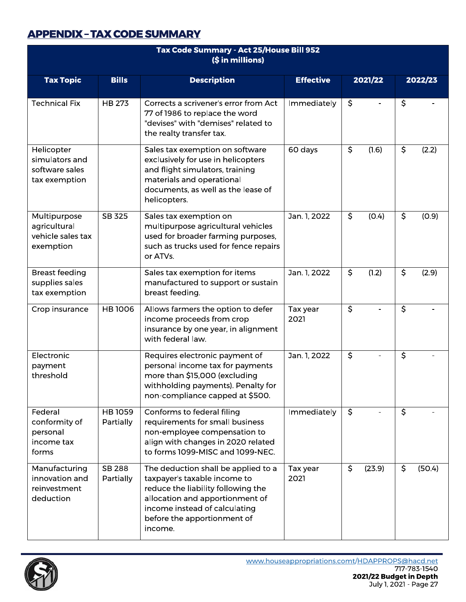## **APPENDIX - TAX CODE SUMMARY**

| Tax Code Summary - Act 25/House Bill 952<br>(\$ in millions)    |                            |                                                                                                                                                                                                                         |                  |                                   |                          |  |
|-----------------------------------------------------------------|----------------------------|-------------------------------------------------------------------------------------------------------------------------------------------------------------------------------------------------------------------------|------------------|-----------------------------------|--------------------------|--|
| <b>Tax Topic</b>                                                | <b>Bills</b>               | <b>Description</b>                                                                                                                                                                                                      | <b>Effective</b> | 2021/22                           | 2022/23                  |  |
| <b>Technical Fix</b>                                            | <b>HB 273</b>              | Corrects a scrivener's error from Act<br>77 of 1986 to replace the word<br>"devises" with "demises" related to<br>the realty transfer tax.                                                                              | Immediately      | \$                                | $\overline{\mathcal{S}}$ |  |
| Helicopter<br>simulators and<br>software sales<br>tax exemption |                            | Sales tax exemption on software<br>exclusively for use in helicopters<br>and flight simulators, training<br>materials and operational<br>documents, as well as the lease of<br>helicopters.                             | 60 days          | $\overline{\mathcal{S}}$<br>(1.6) | \$<br>(2.2)              |  |
| Multipurpose<br>agricultural<br>vehicle sales tax<br>exemption  | SB 325                     | Sales tax exemption on<br>multipurpose agricultural vehicles<br>used for broader farming purposes,<br>such as trucks used for fence repairs<br>or ATVs.                                                                 | Jan. 1, 2022     | \$<br>(0.4)                       | $\zeta$<br>(0.9)         |  |
| <b>Breast feeding</b><br>supplies sales<br>tax exemption        |                            | Sales tax exemption for items<br>manufactured to support or sustain<br>breast feeding.                                                                                                                                  | Jan. 1, 2022     | \$<br>(1.2)                       | $\zeta$<br>(2.9)         |  |
| Crop insurance                                                  | <b>HB1006</b>              | Allows farmers the option to defer<br>income proceeds from crop<br>insurance by one year, in alignment<br>with federal law.                                                                                             | Tax year<br>2021 | $\overline{\mathcal{S}}$          | $\overline{\mathcal{S}}$ |  |
| Electronic<br>payment<br>threshold                              |                            | Requires electronic payment of<br>personal income tax for payments<br>more than \$15,000 (excluding<br>withholding payments). Penalty for<br>non-compliance capped at \$500.                                            | Jan. 1, 2022     | \$                                | \$                       |  |
| Federal<br>conformity of<br>personal<br>income tax<br>forms     | <b>HB1059</b><br>Partially | Conforms to federal filing<br>requirements for small business<br>non-employee compensation to<br>align with changes in 2020 related<br>to forms 1099-MISC and 1099-NEC.                                                 | Immediately      | \$                                | \$                       |  |
| Manufacturing<br>innovation and<br>reinvestment<br>deduction    | <b>SB 288</b><br>Partially | The deduction shall be applied to a<br>taxpayer's taxable income to<br>reduce the liability following the<br>allocation and apportionment of<br>income instead of calculating<br>before the apportionment of<br>income. | Tax year<br>2021 | \$<br>(23.9)                      | $\zeta$<br>(50.4)        |  |

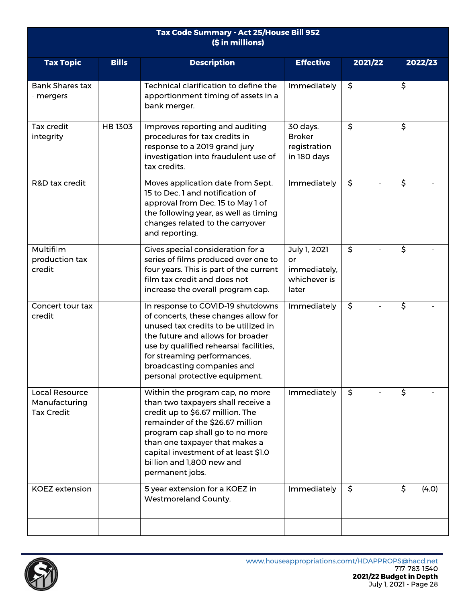| Tax Code Summary - Act 25/House Bill 952<br>(\$ in millions) |               |                                                                                                                                                                                                                                                                                                            |                                                             |                          |                          |  |
|--------------------------------------------------------------|---------------|------------------------------------------------------------------------------------------------------------------------------------------------------------------------------------------------------------------------------------------------------------------------------------------------------------|-------------------------------------------------------------|--------------------------|--------------------------|--|
| <b>Tax Topic</b>                                             | <b>Bills</b>  | <b>Description</b>                                                                                                                                                                                                                                                                                         | <b>Effective</b>                                            | 2021/22                  | 2022/23                  |  |
| <b>Bank Shares tax</b><br>- mergers                          |               | Technical clarification to define the<br>apportionment timing of assets in a<br>bank merger.                                                                                                                                                                                                               | Immediately                                                 | \$                       | \$                       |  |
| Tax credit<br>integrity                                      | <b>HB1303</b> | Improves reporting and auditing<br>procedures for tax credits in<br>response to a 2019 grand jury<br>investigation into fraudulent use of<br>tax credits.                                                                                                                                                  | 30 days.<br><b>Broker</b><br>registration<br>in 180 days    | $\overline{\mathcal{S}}$ | $\overline{\mathcal{S}}$ |  |
| R&D tax credit                                               |               | Moves application date from Sept.<br>15 to Dec. 1 and notification of<br>approval from Dec. 15 to May 1 of<br>the following year, as well as timing<br>changes related to the carryover<br>and reporting.                                                                                                  | Immediately                                                 | \$                       | \$                       |  |
| Multifilm<br>production tax<br>credit                        |               | Gives special consideration for a<br>series of films produced over one to<br>four years. This is part of the current<br>film tax credit and does not<br>increase the overall program cap.                                                                                                                  | July 1, 2021<br>or<br>immediately,<br>whichever is<br>later | \$                       | \$                       |  |
| Concert tour tax<br>credit                                   |               | In response to COVID-19 shutdowns<br>of concerts, these changes allow for<br>unused tax credits to be utilized in<br>the future and allows for broader<br>use by qualified rehearsal facilities,<br>for streaming performances,<br>broadcasting companies and<br>personal protective equipment.            | Immediately                                                 | \$                       | \$                       |  |
| Local Resource<br>Manufacturing<br><b>Tax Credit</b>         |               | Within the program cap, no more<br>than two taxpayers shall receive a<br>credit up to \$6.67 million. The<br>remainder of the \$26.67 million<br>program cap shall go to no more<br>than one taxpayer that makes a<br>capital investment of at least \$1.0<br>billion and 1,800 new and<br>permanent jobs. | Immediately                                                 | \$                       | \$                       |  |
| <b>KOEZ</b> extension                                        |               | 5 year extension for a KOEZ in<br><b>Westmoreland County.</b>                                                                                                                                                                                                                                              | Immediately                                                 | \$                       | \$<br>(4.0)              |  |
|                                                              |               |                                                                                                                                                                                                                                                                                                            |                                                             |                          |                          |  |